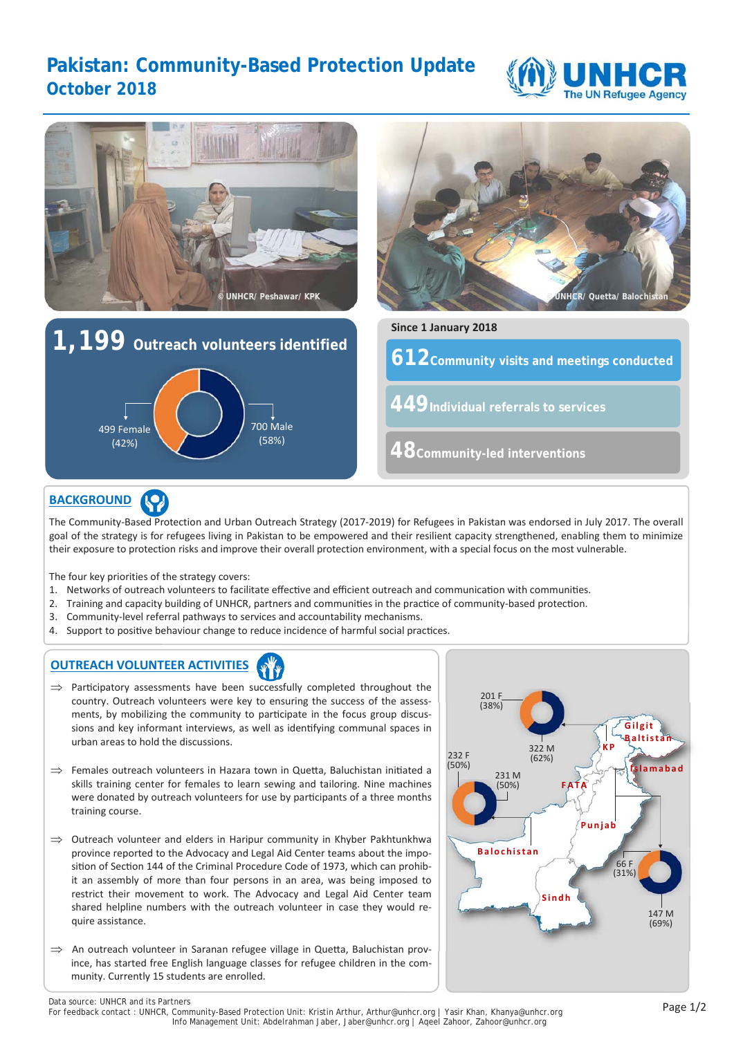# **Pakistan: Community-Based Protection Update October 2018**





The Community‐Based Protection and Urban Outreach Strategy (2017‐2019) for Refugees in Pakistan was endorsed in July 2017. The overall goal of the strategy is for refugees living in Pakistan to be empowered and their resilient capacity strengthened, enabling them to minimize their exposure to protection risks and improve their overall protection environment, with a special focus on the most vulnerable.

The four key priorities of the strategy covers:

- 1. Networks of outreach volunteers to facilitate effective and efficient outreach and communication with communities.
- 2. Training and capacity building of UNHCR, partners and communities in the practice of community-based protection.
- 3. Community-level referral pathways to services and accountability mechanisms.
- 4. Support to positive behaviour change to reduce incidence of harmful social practices.

## **OUTREACH VOLUNTEER ACTIVITIES**

- $\Rightarrow$  Participatory assessments have been successfully completed throughout the country. Outreach volunteers were key to ensuring the success of the assessments, by mobilizing the community to participate in the focus group discussions and key informant interviews, as well as identifying communal spaces in urban areas to hold the discussions.
- $\Rightarrow$  Females outreach volunteers in Hazara town in Quetta, Baluchistan initiated a skills training center for females to learn sewing and tailoring. Nine machines were donated by outreach volunteers for use by participants of a three months training course.
- $\Rightarrow$  Outreach volunteer and elders in Haripur community in Khyber Pakhtunkhwa province reported to the Advocacy and Legal Aid Center teams about the imposition of Section 144 of the Criminal Procedure Code of 1973, which can prohibit an assembly of more than four persons in an area, was being imposed to restrict their movement to work. The Advocacy and Legal Aid Center team shared helpline numbers with the outreach volunteer in case they would re‐ quire assistance.
- $\Rightarrow$  An outreach volunteer in Saranan refugee village in Quetta, Baluchistan province, has started free English language classes for refugee children in the community. Currently 15 students are enrolled.



Data source: UNHCR and its Partners<br>For feedback contact : UNHCR, Community-Based Protection Unit: Kristin Arthur, Arthur@unhcr.org | Yasir Khan, Khanya@unhcr.org Info Management Unit: Abdelrahman Jaber, Jaber@unhcr.org | Aqeel Zahoor, Zahoor@unhcr.org